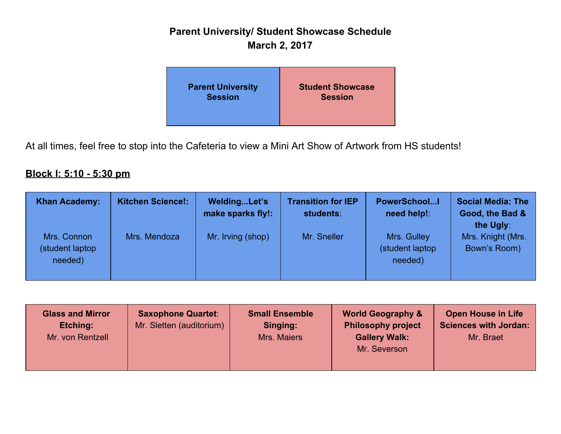# **Parent University/ Student Showcase Schedule March 2, 2017**

| <b>Parent University</b> | <b>Student Showcase</b> |
|--------------------------|-------------------------|
| <b>Session</b>           | <b>Session</b>          |

At all times, feel free to stop into the Cafeteria to view a Mini Art Show of Artwork from HS students!

### **Block I: 5:10 - 5:30 pm**

| <b>Khan Academy:</b>                       | <b>Kitchen Science!:</b> | WeldingLet's<br>make sparks fly!: | <b>Transition for IEP</b><br>students: | <b>PowerSchoolI</b><br>need help!:         | <b>Social Media: The</b><br>Good, the Bad &    |
|--------------------------------------------|--------------------------|-----------------------------------|----------------------------------------|--------------------------------------------|------------------------------------------------|
| Mrs. Connon<br>(student laptop)<br>needed) | Mrs. Mendoza             | Mr. Irving (shop)                 | Mr. Sneller                            | Mrs. Gulley<br>(student laptop)<br>needed) | the Ugly:<br>Mrs. Knight (Mrs.<br>Bown's Room) |

| <b>Glass and Mirror</b><br>Etching:<br>Mr. von Rentzell | <b>Saxophone Quartet:</b><br>Mr. Sletten (auditorium) | <b>Small Ensemble</b><br>Singing:<br>Mrs. Maiers | <b>World Geography &amp;</b><br><b>Philosophy project</b><br><b>Gallery Walk:</b><br>Mr. Severson | <b>Open House in Life</b><br><b>Sciences with Jordan:</b><br>Mr. Braet |
|---------------------------------------------------------|-------------------------------------------------------|--------------------------------------------------|---------------------------------------------------------------------------------------------------|------------------------------------------------------------------------|
|                                                         |                                                       |                                                  |                                                                                                   |                                                                        |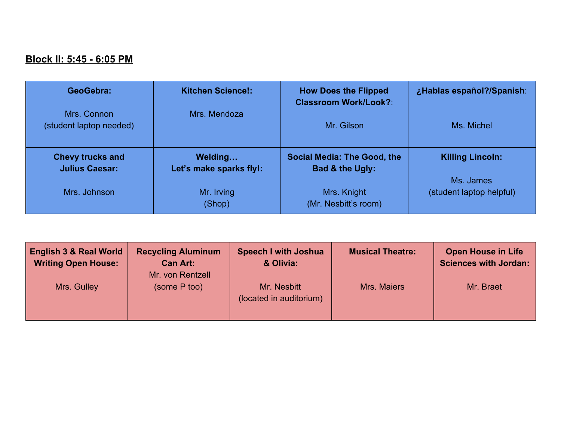#### **Block II: 5:45 - 6:05 PM**

| GeoGebra:                              | <b>Kitchen Science!:</b> | <b>How Does the Flipped</b><br><b>Classroom Work/Look?:</b> | ¿Hablas español?/Spanish: |
|----------------------------------------|--------------------------|-------------------------------------------------------------|---------------------------|
| Mrs. Connon<br>(student laptop needed) | Mrs. Mendoza             | Mr. Gilson                                                  | Ms. Michel                |
| <b>Chevy trucks and</b>                | Welding                  | <b>Social Media: The Good, the</b>                          | <b>Killing Lincoln:</b>   |
| <b>Julius Caesar:</b>                  | Let's make sparks fly!:  | Bad & the Ugly:                                             |                           |
| Mrs. Johnson                           | Mr. Irving               | Mrs. Knight                                                 | Ms. James                 |
|                                        | (Shop)                   | (Mr. Nesbitt's room)                                        | (student laptop helpful)  |

| <b>English 3 &amp; Real World</b><br><b>Writing Open House:</b> | <b>Recycling Aluminum</b><br><b>Can Art:</b><br>Mr. von Rentzell | <b>Speech I with Joshua</b><br>& Olivia: | <b>Musical Theatre:</b> | <b>Open House in Life</b><br><b>Sciences with Jordan:</b> |
|-----------------------------------------------------------------|------------------------------------------------------------------|------------------------------------------|-------------------------|-----------------------------------------------------------|
| Mrs. Gulley                                                     | (some P too)                                                     | Mr. Nesbitt<br>(located in auditorium)   | Mrs. Maiers             | Mr. Braet                                                 |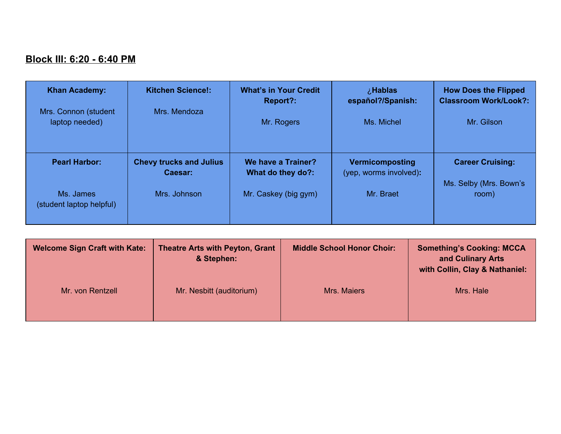## **Block III: 6:20 - 6:40 PM**

| <b>Khan Academy:</b>                   | <b>Kitchen Science!:</b>                  | <b>What's in Your Credit</b><br>Report?: | <i>i</i> . Hablas<br>español?/Spanish:    | <b>How Does the Flipped</b><br><b>Classroom Work/Look?:</b> |
|----------------------------------------|-------------------------------------------|------------------------------------------|-------------------------------------------|-------------------------------------------------------------|
| Mrs. Connon (student<br>laptop needed) | Mrs. Mendoza                              | Mr. Rogers                               | Ms. Michel                                | Mr. Gilson                                                  |
| <b>Pearl Harbor:</b>                   | <b>Chevy trucks and Julius</b><br>Caesar: | We have a Trainer?<br>What do they do?:  | Vermicomposting<br>(yep, worms involved): | <b>Career Cruising:</b><br>Ms. Selby (Mrs. Bown's           |
| Ms. James<br>(student laptop helpful)  | Mrs. Johnson                              | Mr. Caskey (big gym)                     | Mr. Braet                                 | room)                                                       |

| <b>Welcome Sign Craft with Kate:</b> | <b>Theatre Arts with Peyton, Grant</b><br>& Stephen: | <b>Middle School Honor Choir:</b> | <b>Something's Cooking: MCCA</b><br>and Culinary Arts<br>with Collin, Clay & Nathaniel: |
|--------------------------------------|------------------------------------------------------|-----------------------------------|-----------------------------------------------------------------------------------------|
| Mr. von Rentzell                     | Mr. Nesbitt (auditorium)                             | <b>Mrs. Maiers</b>                | Mrs. Hale                                                                               |